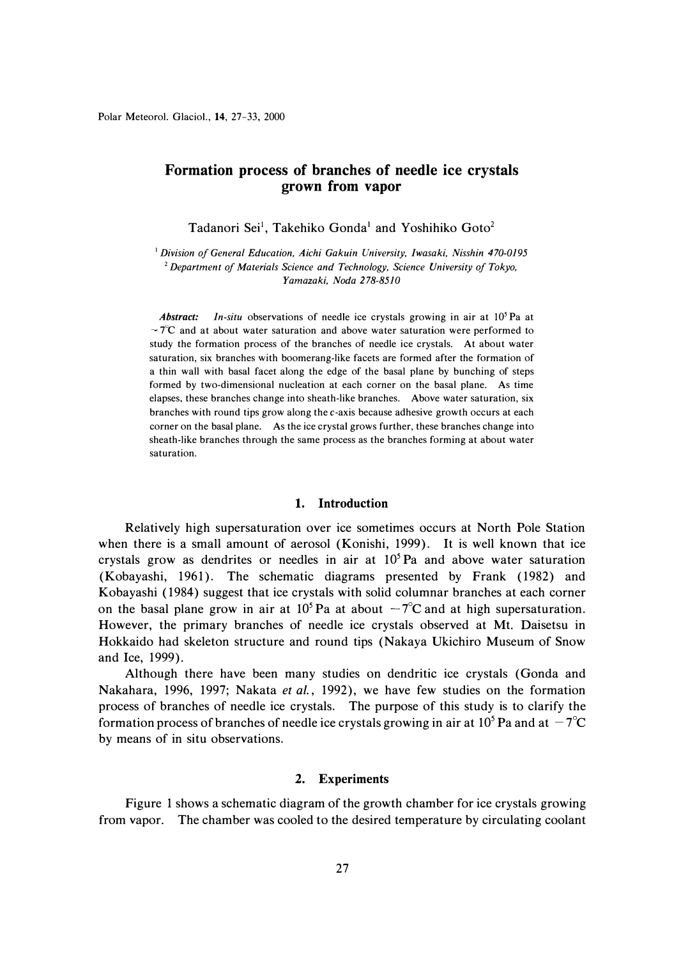# **Formation process of branches of needle ice crystals grown from vapor**

Tadanori Sei<sup>1</sup>, Takehiko Gonda<sup>1</sup> and Yoshihiko Goto<sup>2</sup>

<sup>1</sup>*Division of General Education, Aichi Gakuin University, Iwasaki, Nisshin 470-0195*  <sup>2</sup>*Department of Materials Science and Technology, Science University of Tokyo, Yamazaki, Noda 278-8510* 

*Abstract: In-situ* observations of needle ice crystals growing in air at 10<sup>5</sup> Pa at  $-7^{\circ}\text{C}$  and at about water saturation and above water saturation were performed to study the formation process of the branches of needle ice crystals. At about water saturation, six branches with boomerang-like facets are formed after the formation of a thin wall with basal facet along the edge of the basal plane by bunching of steps formed by two-dimensional nucleation at each corner on the basal plane. As time elapses, these branches change into sheath-like branches. Above water saturation, six branches with round tips grow along the c-axis because adhesive growth occurs at each corner on the basal plane. As the ice crystal grows further, these branches change into sheath-like branches through the same process as the branches forming at about water saturation.

# **1. Introduction**

Relatively high supersaturation over ice sometimes occurs at North Pole Station when there is a small amount of aerosol (Konishi, 1999). It is well known that ice crystals grow as dendrites or needles in air at  $10<sup>5</sup>$  Pa and above water saturation (Kobayashi, 1961). The schematic diagrams presented by Frank (1982) and Kobayashi ( 1984) suggest that ice crystals with solid columnar branches at each corner on the basal plane grow in air at  $10^5$  Pa at about  $-7^{\circ}$ C and at high supersaturation. However, the primary branches of needle ice crystals observed at Mt. Daisetsu in Hokkaido had skeleton structure and round tips (Nakaya Ukichiro Museum of Snow and Ice, 1999).

Although there have been many studies on dendritic ice crystals ( Gonda and Nakahara, 1996, 1997; Nakata *et al.,* 1992), we have few studies on the formation process of branches of needle ice crystals. The purpose of this study is to clarify the formation process of branches of needle ice crystals growing in air at 10<sup>5</sup> Pa and at  $-7^{\circ}$ C by means of in situ observations.

# **2. Experiments**

Figure 1 shows a schematic diagram of the growth chamber for ice crystals growing from vapor. The chamber was cooled to the desired temperature by circulating coolant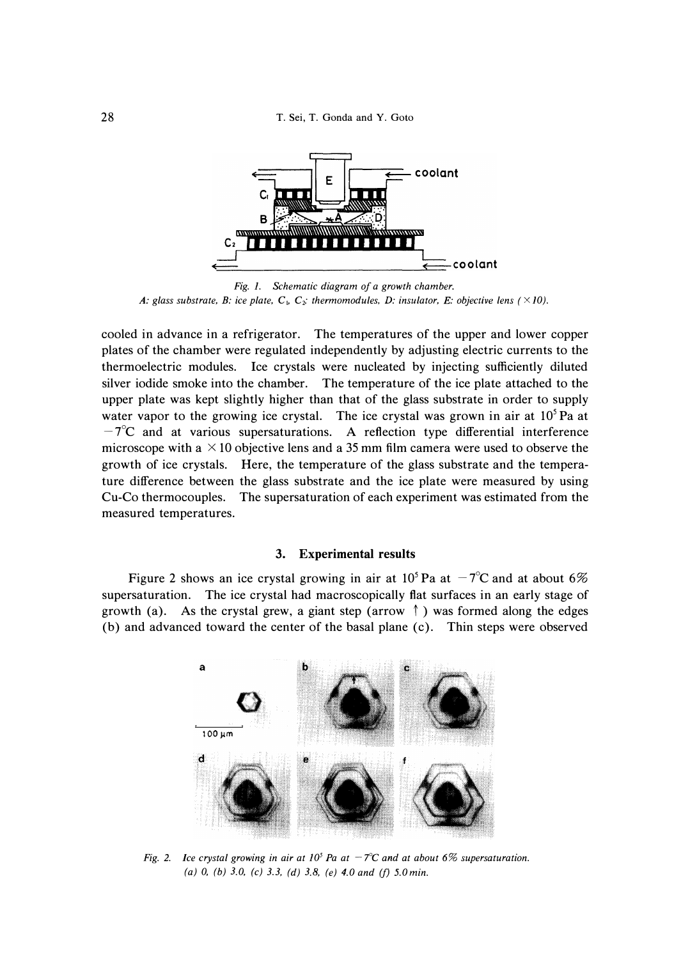

*Fig. 1. Schematic diagram of a growth chamber.*  A: glass substrate, B: ice plate,  $C_{1}$ ,  $C_{2}$ : thermomodules, D: insulator, E: objective lens (  $\times$  10).

cooled in advance in a refrigerator. The temperatures of the upper and lower copper plates of the chamber were regulated independently by adjusting electric currents to the thermoelectric modules. Ice crystals were nucleated by injecting sufficiently diluted silver iodide smoke into the chamber. The temperature of the ice plate attached to the upper plate was kept slightly higher than that of the glass substrate in order to supply water vapor to the growing ice crystal. The ice crystal was grown in air at 10<sup>5</sup>Pa at  $-7^{\circ}$ C and at various supersaturations. A reflection type differential interference microscope with a  $\times$  10 objective lens and a 35 mm film camera were used to observe the growth of ice crystals. Here, the temperature of the glass substrate and the temperature difference between the glass substrate and the ice plate were measured by using Cu-Co thermocouples. The supersaturation of each experiment was estimated from the measured temperatures.

### **3. Experimental results**

Figure 2 shows an ice crystal growing in air at  $10^5$  Pa at  $-7^{\circ}$ C and at about 6% supersaturation. The ice crystal had macroscopically flat surfaces in an early stage of growth (a). As the crystal grew, a giant step (arrow  $\uparrow$ ) was formed along the edges (b) and advanced toward the center of the basal plane ( c). Thin steps were observed



*Fig. 2. Ice crystal growing in air at 10<sup>5</sup> Pa at*  $-7^{\circ}$ *C and at about 6% supersaturation. (a) 0, (b) 3.0, (c) 3.3, (d) 3.8, (e) 4.0 and (f) 5.0 min.*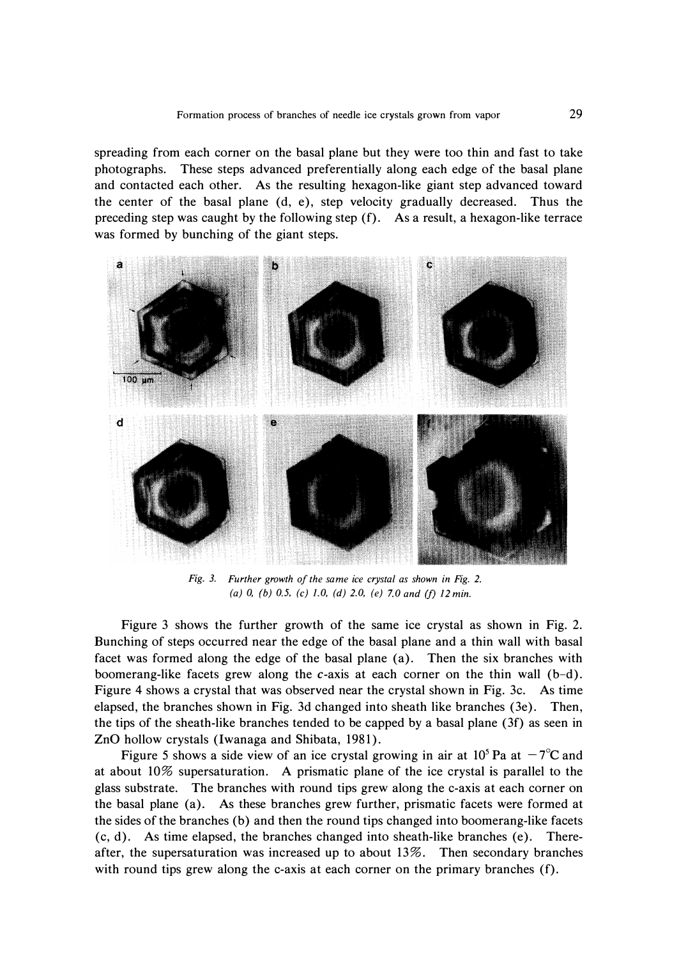**spreading from each corner on the basal plane but they were too thin and fast to take photographs. These steps advanced preferentially along each edge of the basal plane and contacted each other. As the resulting hexagon-like giant step advanced toward**  the center of the basal plane (d, e), step velocity gradually decreased. Thus the **preceding step was caught by the following step (f). As a result, a hexagon-like terrace was formed by bunching of the giant steps.** 



*Fig. 3. Further growth of the same ice crystal as shown in Fig. 2. (a) 0, (b) 0.5, (c) 1.0, (d) 2.0, (e) 7.0 and (f) 12 min.* 

**Figure 3 shows the further growth of the same ice crystal as shown in Fig. 2. Bunching of steps occurred near the edge of the basal plane and a thin wall with basal facet was formed along the edge of the basal plane (a). Then the six branches with boomerang-like facets grew along the c-axis at each corner on the thin wall (b-d). Figure 4 shows a crystal that was observed near the crystal shown in Fig. 3c. As time elapsed, the branches shown in Fig. 3d changed into sheath like branches (3e). Then, the tips of the sheath-like branches tended to be capped by a basal plane (3f) as seen in**  ZnO hollow crystals (Iwanaga and Shibata, 1981).

Figure 5 shows a side view of an ice crystal growing in air at  $10^5$  Pa at  $-7^{\circ}$ C and **at about 10% supersaturation. A prismatic plane of the ice crystal is parallel to the glass substrate. The branches with round tips grew along the c-axis at each corner on the basal plane (a). As these branches grew further, prismatic facets were formed at the sides of the branches (b) and then the round tips changed into boomerang-like facets (c, d). As time elapsed, the branches changed into sheath-like branches (e). Thereafter, the supersaturation was increased up to about 13%. Then secondary branches**  with round tips grew along the c-axis at each corner on the primary branches (f).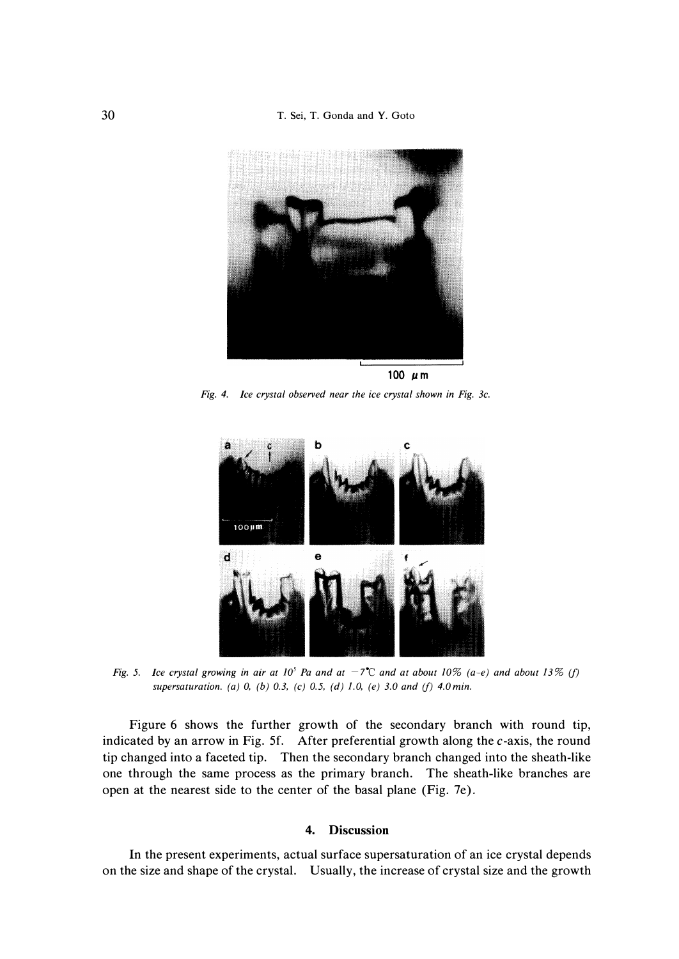

*Fig. 4. Ice crystal observed near the ice crystal shown in Fig. 3c.* 



*Fig.* 5. Ice crystal growing in air at 10<sup>5</sup> Pa and at  $-7$ <sup> $\degree$ </sup>C and at about 10% (a-e) and about 13% (f) *supersaturation. (a) 0, (b) 0.3, (c) 0.5, (d) 1.0, (e) 3.0 and (f) 4.0min.* 

Figure 6 shows the further growth of the secondary branch with round tip, indicated by an arrow in Fig. 5f. After preferential growth along the  $c$ -axis, the round tip changed into a faceted tip. Then the secondary branch changed into the sheath-like one through the same process as the primary branch. The sheath-like branches are open at the nearest side to the center of the basal plane (Fig. 7e).

# **4. Discussion**

**In** the present experiments, actual surface supersaturation of an ice crystal depends on the size and shape of the crystal. Usually, the increase of crystal size and the growth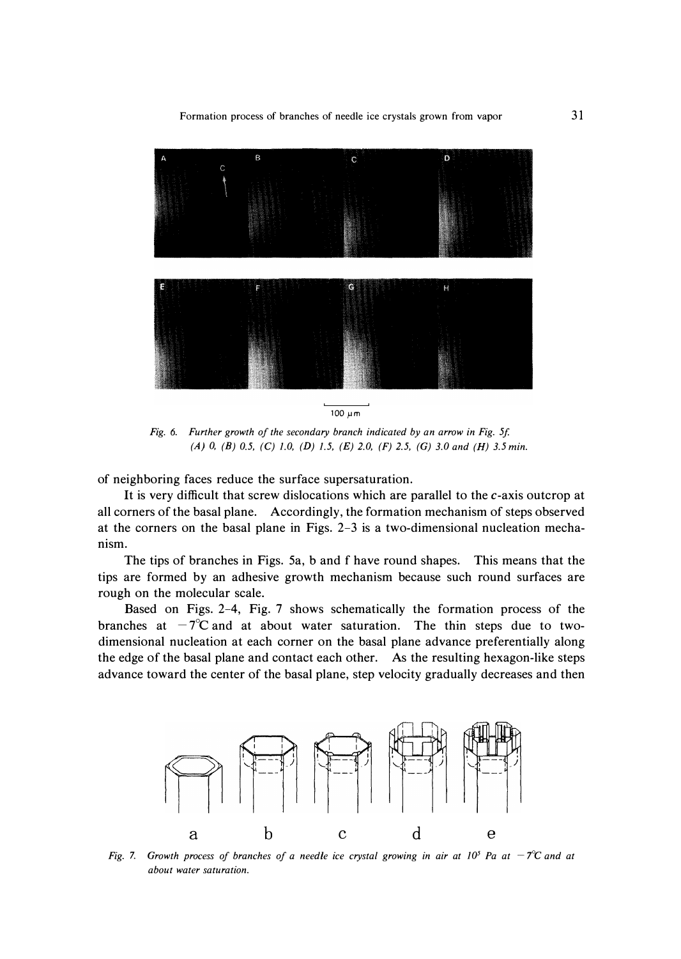*Formation process of branches of needle ice crystals grown from vapor* 



*Fig. 6. Further growth of the secondary branch indicated by an arrow in Fig. 5f. (A) 0, (B) 0.5, (C) 1.0, (D) 1.5, (E) 2.0, (F) 2.5, (G) 3.0 and (H) 3.5 min.* 

**of neighboring faces reduce the surface supersaturation.** 

**It is very difficult that screw dislocations which are parallel to the c-axis outcrop at all corners of the basal plane. Accordingly, the formation mechanism of steps observed at the corners on the basal plane in Figs. 2-3 is a two-dimensional nucleation mechanism.** 

**The tips of branches in Figs. 5a, b and f have round shapes. This means that the tips are formed by an adhesive growth mechanism because such round surfaces are rough on the molecular scale.** 

**Based on Figs. 2-4, Fig. 7 shows schematically the formation process of the**  branches at  $-7^{\circ}$ C and at about water saturation. The thin steps due to two**dimensional nucleation at each corner on the basal plane advance preferentially along the edge of the basal plane and contact each other. As the resulting hexagon-like steps advance toward the center of the basal plane, step velocity gradually decreases and then** 



*Fig. 7. Growth process of branches of a needle ice crystal growing in air at*  $10^5$  *Pa at*  $-7^{\circ}$ *C and at about water saturation.*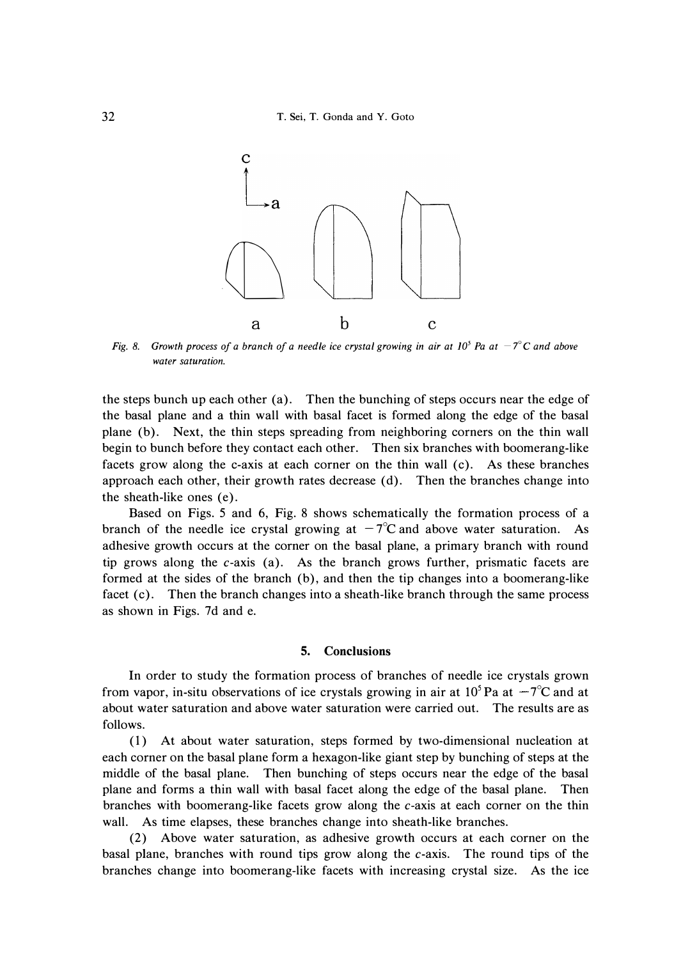

*Fig. 8.* Growth process of a branch of a needle ice crystal growing in air at  $10^5$  Pa at  $-7^{\circ}$ C and above *water saturation.* 

the steps bunch up each other (a). Then the bunching of steps occurs near the edge of the basal plane and a thin wall with basal facet is formed along the edge of the basal plane (b). Next, the thin steps spreading from neighboring corners on the thin wall begin to bunch before they contact each other. Then six branches with boomerang-like facets grow along the c-axis at each corner on the thin wall (c). As these branches approach each other, their growth rates decrease (d). Then the branches change into the sheath-like ones (e).

Based on Figs. 5 and 6, Fig. 8 shows schematically the formation process of a branch of the needle ice crystal growing at  $-7^{\circ}$ C and above water saturation. As adhesive growth occurs at the corner on the basal plane, a primary branch with round tip grows along the  $c$ -axis (a). As the branch grows further, prismatic facets are formed at the sides of the branch (b), and then the tip changes into a boomerang-like facet (c). Then the branch changes into a sheath-like branch through the same process as shown in Figs. 7d and e.

### **5. Conclusions**

In order to study the formation process of branches of needle ice crystals grown from vapor, in-situ observations of ice crystals growing in air at  $10^5$  Pa at  $-7^{\circ}$ C and at about water saturation and above water saturation were carried out. The results are as follows.

( 1) At about water saturation, steps formed by two-dimensional nucleation at each corner on the basal plane form a hexagon-like giant step by bunching of steps at the middle of the basal plane. Then bunching of steps occurs near the edge of the basal plane and forms a thin wall with basal facet along the edge of the basal plane. Then branches with boomerang-like facets grow along the c-axis at each corner on the thin wall. As time elapses, these branches change into sheath-like branches.

(2) Above water saturation, as adhesive growth occurs at each corner on the basal plane, branches with round tips grow along the c-axis. The round tips of the branches change into boomerang-like facets with increasing crystal size. As the ice